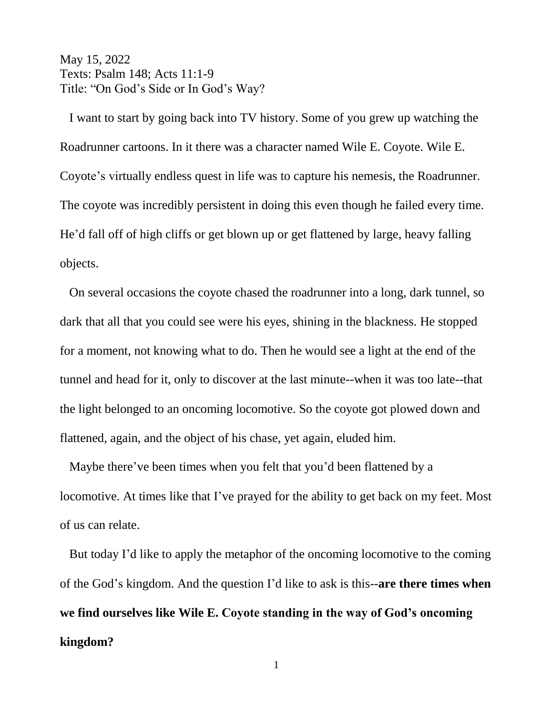May 15, 2022 Texts: Psalm 148; Acts 11:1-9 Title: "On God's Side or In God's Way?

 I want to start by going back into TV history. Some of you grew up watching the Roadrunner cartoons. In it there was a character named Wile E. Coyote. Wile E. Coyote's virtually endless quest in life was to capture his nemesis, the Roadrunner. The coyote was incredibly persistent in doing this even though he failed every time. He'd fall off of high cliffs or get blown up or get flattened by large, heavy falling objects.

 On several occasions the coyote chased the roadrunner into a long, dark tunnel, so dark that all that you could see were his eyes, shining in the blackness. He stopped for a moment, not knowing what to do. Then he would see a light at the end of the tunnel and head for it, only to discover at the last minute--when it was too late--that the light belonged to an oncoming locomotive. So the coyote got plowed down and flattened, again, and the object of his chase, yet again, eluded him.

 Maybe there've been times when you felt that you'd been flattened by a locomotive. At times like that I've prayed for the ability to get back on my feet. Most of us can relate.

 But today I'd like to apply the metaphor of the oncoming locomotive to the coming of the God's kingdom. And the question I'd like to ask is this--**are there times when we find ourselves like Wile E. Coyote standing in the way of God's oncoming kingdom?**

1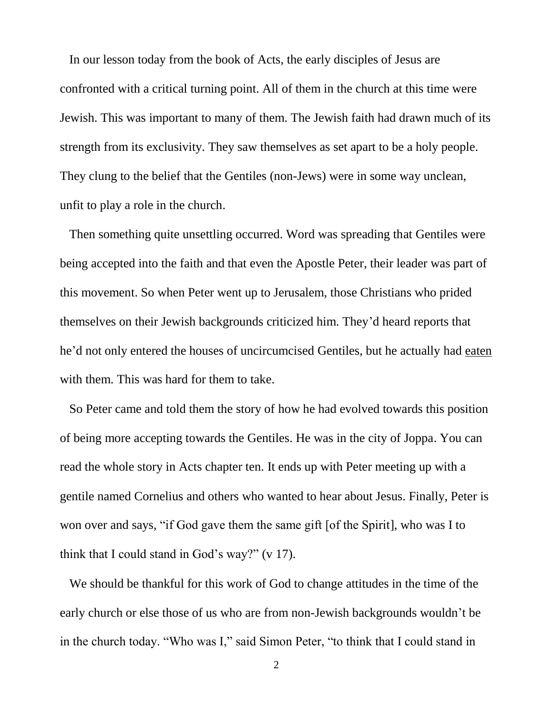In our lesson today from the book of Acts, the early disciples of Jesus are confronted with a critical turning point. All of them in the church at this time were Jewish. This was important to many of them. The Jewish faith had drawn much of its strength from its exclusivity. They saw themselves as set apart to be a holy people. They clung to the belief that the Gentiles (non-Jews) were in some way unclean, unfit to play a role in the church.

 Then something quite unsettling occurred. Word was spreading that Gentiles were being accepted into the faith and that even the Apostle Peter, their leader was part of this movement. So when Peter went up to Jerusalem, those Christians who prided themselves on their Jewish backgrounds criticized him. They'd heard reports that he'd not only entered the houses of uncircumcised Gentiles, but he actually had eaten with them. This was hard for them to take.

 So Peter came and told them the story of how he had evolved towards this position of being more accepting towards the Gentiles. He was in the city of Joppa. You can read the whole story in Acts chapter ten. It ends up with Peter meeting up with a gentile named Cornelius and others who wanted to hear about Jesus. Finally, Peter is won over and says, "if God gave them the same gift [of the Spirit], who was I to think that I could stand in God's way?" (v 17).

 We should be thankful for this work of God to change attitudes in the time of the early church or else those of us who are from non-Jewish backgrounds wouldn't be in the church today. "Who was I," said Simon Peter, "to think that I could stand in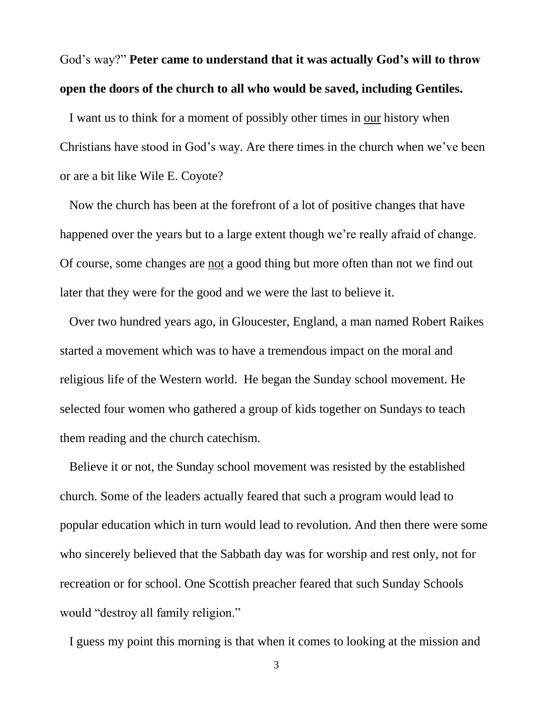God's way?" **Peter came to understand that it was actually God's will to throw open the doors of the church to all who would be saved, including Gentiles.**

 I want us to think for a moment of possibly other times in our history when Christians have stood in God's way. Are there times in the church when we've been or are a bit like Wile E. Coyote?

 Now the church has been at the forefront of a lot of positive changes that have happened over the years but to a large extent though we're really afraid of change. Of course, some changes are not a good thing but more often than not we find out later that they were for the good and we were the last to believe it.

 Over two hundred years ago, in Gloucester, England, a man named Robert Raikes started a movement which was to have a tremendous impact on the moral and religious life of the Western world. He began the Sunday school movement. He selected four women who gathered a group of kids together on Sundays to teach them reading and the church catechism.

 Believe it or not, the Sunday school movement was resisted by the established church. Some of the leaders actually feared that such a program would lead to popular education which in turn would lead to revolution. And then there were some who sincerely believed that the Sabbath day was for worship and rest only, not for recreation or for school. One Scottish preacher feared that such Sunday Schools would "destroy all family religion."

I guess my point this morning is that when it comes to looking at the mission and

3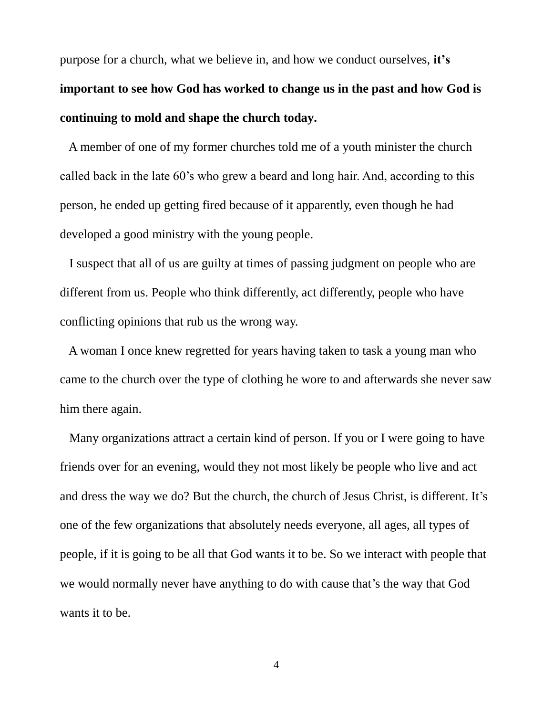purpose for a church, what we believe in, and how we conduct ourselves, **it's important to see how God has worked to change us in the past and how God is continuing to mold and shape the church today.** 

 A member of one of my former churches told me of a youth minister the church called back in the late 60's who grew a beard and long hair. And, according to this person, he ended up getting fired because of it apparently, even though he had developed a good ministry with the young people.

 I suspect that all of us are guilty at times of passing judgment on people who are different from us. People who think differently, act differently, people who have conflicting opinions that rub us the wrong way.

 A woman I once knew regretted for years having taken to task a young man who came to the church over the type of clothing he wore to and afterwards she never saw him there again.

 Many organizations attract a certain kind of person. If you or I were going to have friends over for an evening, would they not most likely be people who live and act and dress the way we do? But the church, the church of Jesus Christ, is different. It's one of the few organizations that absolutely needs everyone, all ages, all types of people, if it is going to be all that God wants it to be. So we interact with people that we would normally never have anything to do with cause that's the way that God wants it to be.

4